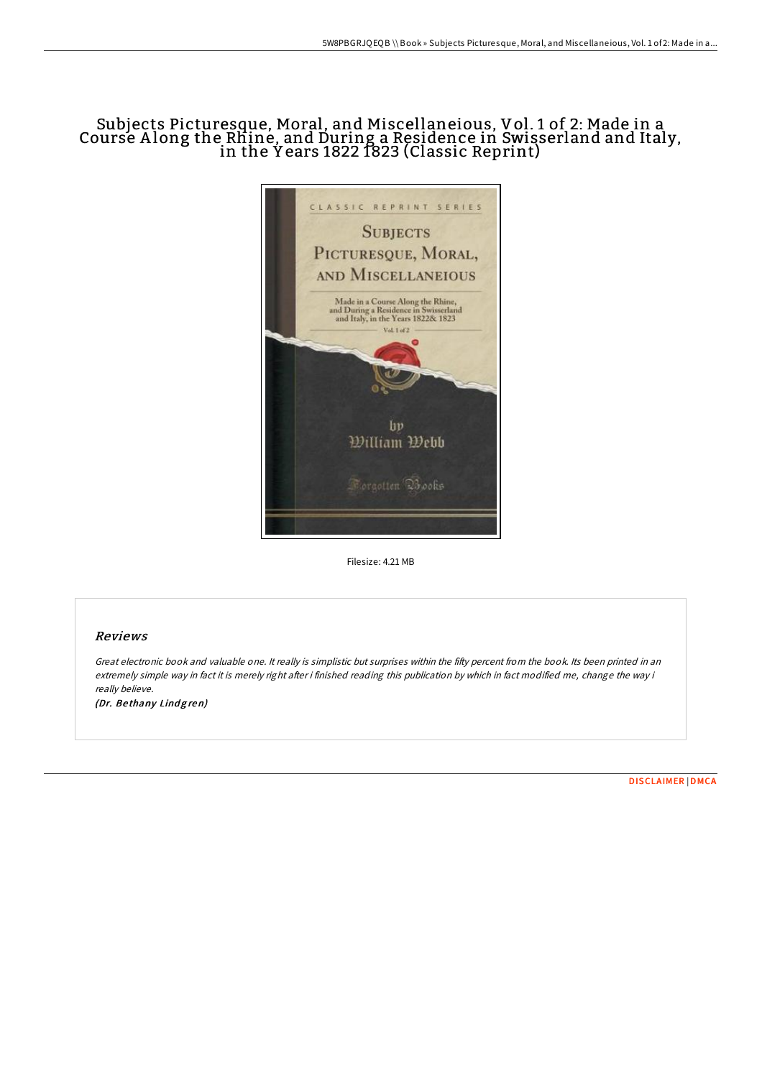# Subjects Picturesque, Moral, and Miscellaneious, Vol. 1 of 2: Made in a Course A long the Rhine, and During a Residence in Swisserland and Italy, in the Y ears 1822 1823 (Classic Reprint)



Filesize: 4.21 MB

### Reviews

Great electronic book and valuable one. It really is simplistic but surprises within the fifty percent from the book. Its been printed in an extremely simple way in fact it is merely right after i finished reading this publication by which in fact modified me, change the way i really believe.

(Dr. Bethany Lindgren)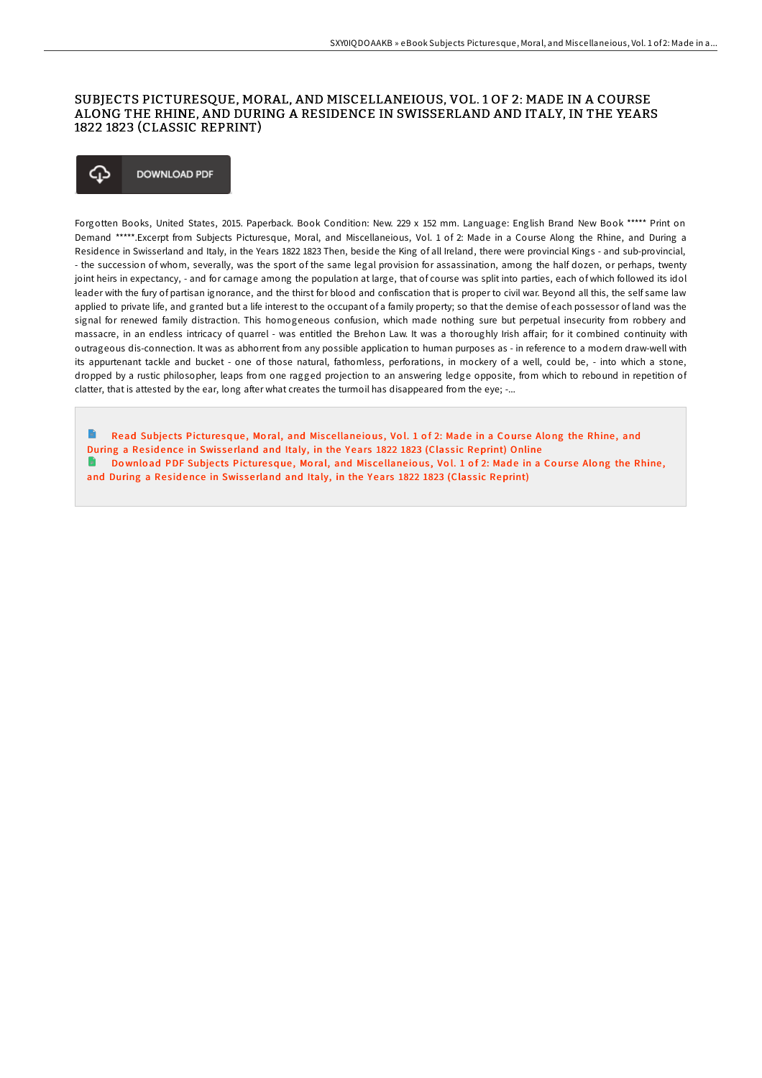### SUBJECTS PICTURESQUE, MORAL, AND MISCELLANEIOUS, VOL. 1 OF 2: MADE IN A COURSE ALONG THE RHINE, AND DURING A RESIDENCE IN SWISSERLAND AND ITALY, IN THE YEARS 1822 1823 (CLASSIC REPRINT)

#### ঞ **DOWNLOAD PDF**

Forgotten Books, United States, 2015. Paperback. Book Condition: New. 229 x 152 mm. Language: English Brand New Book \*\*\*\*\* Print on Demand \*\*\*\*\*.Excerpt from Subjects Picturesque, Moral, and Miscellaneious, Vol. 1 of 2: Made in a Course Along the Rhine, and During a Residence in Swisserland and Italy, in the Years 1822 1823 Then, beside the King of all Ireland, there were provincial Kings - and sub-provincial, - the succession of whom, severally, was the sport of the same legal provision for assassination, among the half dozen, or perhaps, twenty joint heirs in expectancy, - and for carnage among the population at large, that of course was split into parties, each of which followed its idol leader with the fury of partisan ignorance, and the thirst for blood and confiscation that is proper to civil war. Beyond all this, the self same law applied to private life, and granted but a life interest to the occupant of a family property; so that the demise of each possessor of land was the signal for renewed family distraction. This homogeneous confusion, which made nothing sure but perpetual insecurity from robbery and massacre, in an endless intricacy of quarrel - was entitled the Brehon Law. It was a thoroughly Irish affair; for it combined continuity with outrageous dis-connection. It was as abhorrent from any possible application to human purposes as - in reference to a modern draw-well with its appurtenant tackle and bucket - one of those natural, fathomless, perforations, in mockery of a well, could be, - into which a stone, dropped by a rustic philosopher, leaps from one ragged projection to an answering ledge opposite, from which to rebound in repetition of clatter, that is attested by the ear, long after what creates the turmoil has disappeared from the eye; -...

Read Subjects Picture sque, Moral, and Miscellane jous, Vol. 1 of 2: Made in a Course Along the Rhine, and During a Residence in Swisserland and Italy, in the Years 1822 1823 (Classic [Reprint\)](http://almighty24.tech/subjects-picturesque-moral-and-miscellaneious-vo.html) Online G. Download PDF Subjects Picturesque, Moral, and Miscellaneious, Vol. 1 of 2: Made in a Course Along the Rhine, and During a Residence in Swisserland and Italy, in the Years 1822 1823 (Classic [Reprint\)](http://almighty24.tech/subjects-picturesque-moral-and-miscellaneious-vo.html)